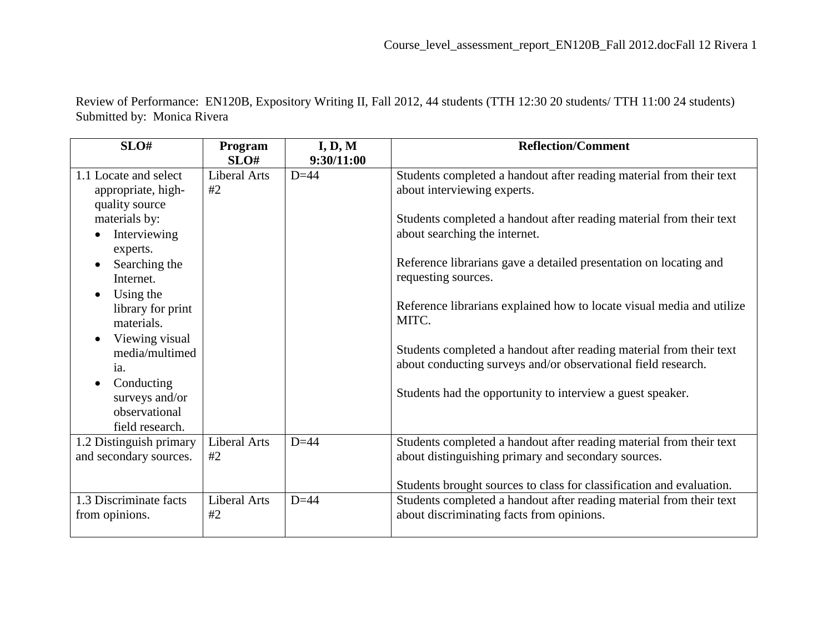Review of Performance: EN120B, Expository Writing II, Fall 2012, 44 students (TTH 12:30 20 students/ TTH 11:00 24 students) Submitted by: Monica Rivera

| SLO#                        | Program             | I, D, M    | <b>Reflection/Comment</b>                                             |
|-----------------------------|---------------------|------------|-----------------------------------------------------------------------|
|                             | SLO#                | 9:30/11:00 |                                                                       |
| 1.1 Locate and select       | Liberal Arts        | $D=44$     | Students completed a handout after reading material from their text   |
| appropriate, high-          | #2                  |            | about interviewing experts.                                           |
| quality source              |                     |            |                                                                       |
| materials by:               |                     |            | Students completed a handout after reading material from their text   |
| Interviewing                |                     |            | about searching the internet.                                         |
| experts.                    |                     |            |                                                                       |
| Searching the               |                     |            | Reference librarians gave a detailed presentation on locating and     |
| Internet.                   |                     |            | requesting sources.                                                   |
| Using the<br>$\bullet$      |                     |            |                                                                       |
| library for print           |                     |            | Reference librarians explained how to locate visual media and utilize |
| materials.                  |                     |            | MITC.                                                                 |
| Viewing visual<br>$\bullet$ |                     |            |                                                                       |
| media/multimed              |                     |            | Students completed a handout after reading material from their text   |
| ia.                         |                     |            | about conducting surveys and/or observational field research.         |
| Conducting                  |                     |            |                                                                       |
| surveys and/or              |                     |            | Students had the opportunity to interview a guest speaker.            |
| observational               |                     |            |                                                                       |
| field research.             |                     |            |                                                                       |
| 1.2 Distinguish primary     | <b>Liberal Arts</b> | $D=44$     | Students completed a handout after reading material from their text   |
| and secondary sources.      | #2                  |            | about distinguishing primary and secondary sources.                   |
|                             |                     |            |                                                                       |
|                             |                     |            | Students brought sources to class for classification and evaluation.  |
| 1.3 Discriminate facts      | <b>Liberal Arts</b> | $D=44$     | Students completed a handout after reading material from their text   |
| from opinions.              | #2                  |            | about discriminating facts from opinions.                             |
|                             |                     |            |                                                                       |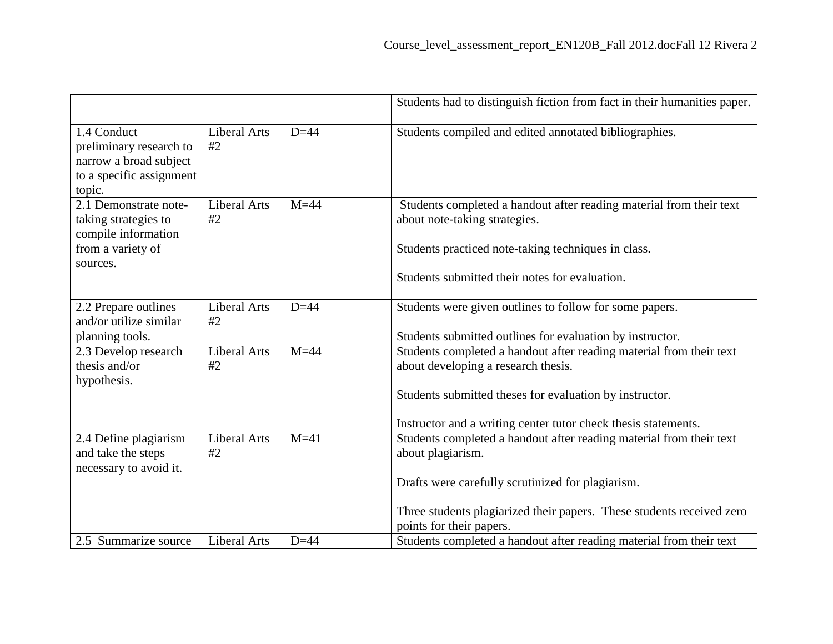|                                                                                                        |                           |        | Students had to distinguish fiction from fact in their humanities paper.                                                                                                                                                                           |
|--------------------------------------------------------------------------------------------------------|---------------------------|--------|----------------------------------------------------------------------------------------------------------------------------------------------------------------------------------------------------------------------------------------------------|
| 1.4 Conduct<br>preliminary research to<br>narrow a broad subject<br>to a specific assignment<br>topic. | <b>Liberal Arts</b><br>#2 | $D=44$ | Students compiled and edited annotated bibliographies.                                                                                                                                                                                             |
| 2.1 Demonstrate note-<br>taking strategies to<br>compile information<br>from a variety of<br>sources.  | <b>Liberal Arts</b><br>#2 | $M=44$ | Students completed a handout after reading material from their text<br>about note-taking strategies.<br>Students practiced note-taking techniques in class.<br>Students submitted their notes for evaluation.                                      |
| 2.2 Prepare outlines<br>and/or utilize similar<br>planning tools.                                      | <b>Liberal Arts</b><br>#2 | $D=44$ | Students were given outlines to follow for some papers.<br>Students submitted outlines for evaluation by instructor.                                                                                                                               |
| 2.3 Develop research<br>thesis and/or<br>hypothesis.                                                   | <b>Liberal Arts</b><br>#2 | $M=44$ | Students completed a handout after reading material from their text<br>about developing a research thesis.<br>Students submitted theses for evaluation by instructor.<br>Instructor and a writing center tutor check thesis statements.            |
| 2.4 Define plagiarism<br>and take the steps<br>necessary to avoid it.                                  | <b>Liberal Arts</b><br>#2 | $M=41$ | Students completed a handout after reading material from their text<br>about plagiarism.<br>Drafts were carefully scrutinized for plagiarism.<br>Three students plagiarized their papers. These students received zero<br>points for their papers. |
| 2.5 Summarize source                                                                                   | <b>Liberal Arts</b>       | $D=44$ | Students completed a handout after reading material from their text                                                                                                                                                                                |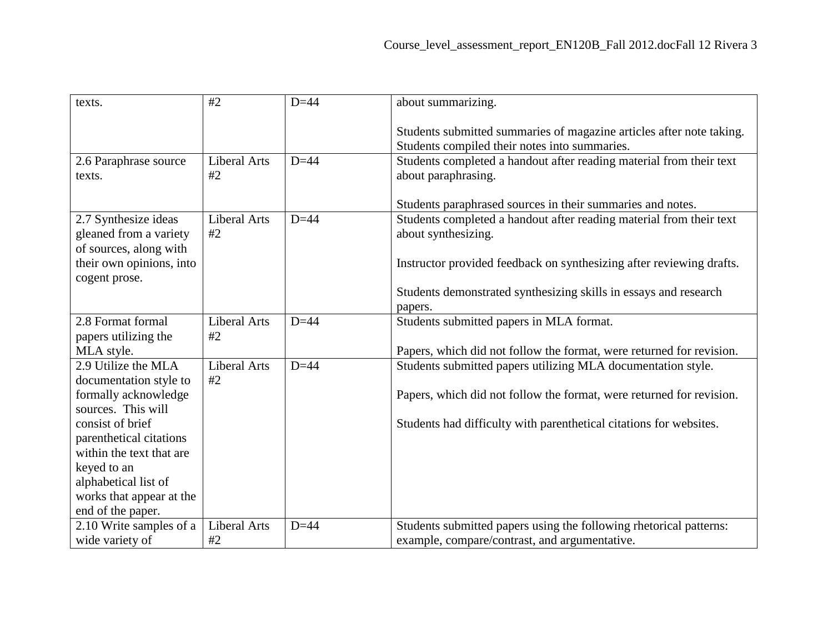| texts.                                                                   | #2                        | $D=44$ | about summarizing.                                                                                                    |
|--------------------------------------------------------------------------|---------------------------|--------|-----------------------------------------------------------------------------------------------------------------------|
|                                                                          |                           |        | Students submitted summaries of magazine articles after note taking.<br>Students compiled their notes into summaries. |
| 2.6 Paraphrase source<br>texts.                                          | <b>Liberal Arts</b><br>#2 | $D=44$ | Students completed a handout after reading material from their text<br>about paraphrasing.                            |
|                                                                          |                           |        | Students paraphrased sources in their summaries and notes.                                                            |
| 2.7 Synthesize ideas<br>gleaned from a variety<br>of sources, along with | <b>Liberal Arts</b><br>#2 | $D=44$ | Students completed a handout after reading material from their text<br>about synthesizing.                            |
| their own opinions, into<br>cogent prose.                                |                           |        | Instructor provided feedback on synthesizing after reviewing drafts.                                                  |
|                                                                          |                           |        | Students demonstrated synthesizing skills in essays and research<br>papers.                                           |
| 2.8 Format formal<br>papers utilizing the                                | <b>Liberal Arts</b><br>#2 | $D=44$ | Students submitted papers in MLA format.                                                                              |
| MLA style.                                                               |                           |        | Papers, which did not follow the format, were returned for revision.                                                  |
| 2.9 Utilize the MLA                                                      | <b>Liberal Arts</b>       | $D=44$ | Students submitted papers utilizing MLA documentation style.                                                          |
| documentation style to<br>formally acknowledge<br>sources. This will     | #2                        |        | Papers, which did not follow the format, were returned for revision.                                                  |
| consist of brief<br>parenthetical citations                              |                           |        | Students had difficulty with parenthetical citations for websites.                                                    |
| within the text that are                                                 |                           |        |                                                                                                                       |
| keyed to an<br>alphabetical list of                                      |                           |        |                                                                                                                       |
| works that appear at the                                                 |                           |        |                                                                                                                       |
| end of the paper.                                                        |                           |        |                                                                                                                       |
| 2.10 Write samples of a                                                  | Liberal Arts              | $D=44$ | Students submitted papers using the following rhetorical patterns:                                                    |
| wide variety of                                                          | #2                        |        | example, compare/contrast, and argumentative.                                                                         |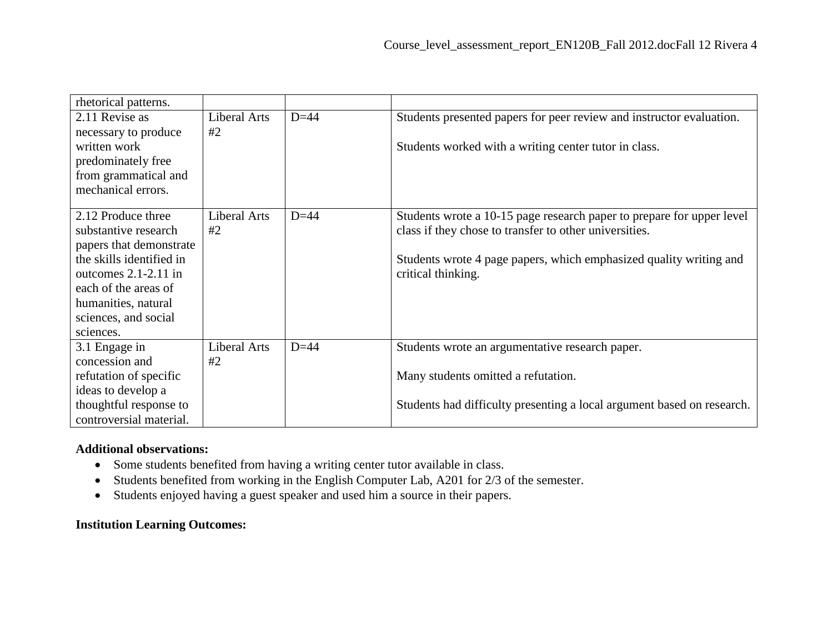| rhetorical patterns.     |              |        |                                                                        |
|--------------------------|--------------|--------|------------------------------------------------------------------------|
| 2.11 Revise as           | Liberal Arts | $D=44$ | Students presented papers for peer review and instructor evaluation.   |
| necessary to produce     | #2           |        |                                                                        |
| written work             |              |        | Students worked with a writing center tutor in class.                  |
| predominately free       |              |        |                                                                        |
| from grammatical and     |              |        |                                                                        |
| mechanical errors.       |              |        |                                                                        |
|                          |              |        |                                                                        |
| 2.12 Produce three       | Liberal Arts | $D=44$ | Students wrote a 10-15 page research paper to prepare for upper level  |
| substantive research     | #2           |        | class if they chose to transfer to other universities.                 |
| papers that demonstrate  |              |        |                                                                        |
| the skills identified in |              |        | Students wrote 4 page papers, which emphasized quality writing and     |
| outcomes $2.1 - 2.11$ in |              |        | critical thinking.                                                     |
| each of the areas of     |              |        |                                                                        |
| humanities, natural      |              |        |                                                                        |
| sciences, and social     |              |        |                                                                        |
| sciences.                |              |        |                                                                        |
| 3.1 Engage in            | Liberal Arts | $D=44$ | Students wrote an argumentative research paper.                        |
| concession and           | #2           |        |                                                                        |
| refutation of specific   |              |        | Many students omitted a refutation.                                    |
| ideas to develop a       |              |        |                                                                        |
| thoughtful response to   |              |        | Students had difficulty presenting a local argument based on research. |
| controversial material.  |              |        |                                                                        |

## **Additional observations:**

- Some students benefited from having a writing center tutor available in class.
- Students benefited from working in the English Computer Lab, A201 for 2/3 of the semester.
- Students enjoyed having a guest speaker and used him a source in their papers.

## **Institution Learning Outcomes:**